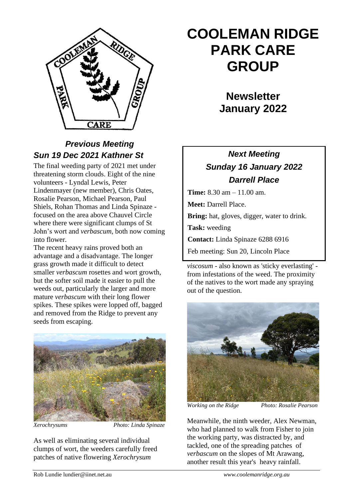

# *Previous Meeting Sun 19 Dec 2021 Kathner St*

The final weeding party of 2021 met under threatening storm clouds. Eight of the nine volunteers - Lyndal Lewis, Peter Lindenmayer (new member), Chris Oates, Rosalie Pearson, Michael Pearson, Paul Shiels, Rohan Thomas and Linda Spinaze focused on the area above Chauvel Circle where there were significant clumps of St John's wort and *verbascum*, both now coming into flower.

The recent heavy rains proved both an advantage and a disadvantage. The longer grass growth made it difficult to detect smaller *verbascum* rosettes and wort growth, but the softer soil made it easier to pull the weeds out, particularly the larger and more mature *verbascum* with their long flower spikes. These spikes were lopped off, bagged and removed from the Ridge to prevent any seeds from escaping.



*Xerochrysums Photo: Linda Spinaze*

As well as eliminating several individual clumps of wort, the weeders carefully freed patches of native flowering *Xerochrysum* 

# **COOLEMAN RIDGE PARK CARE GROUP**

**Newsletter January 2022** 

# *Next Meeting Sunday 16 January 2022 Darrell Place*

**Time:** 8.30 am – 11.00 am. **Meet:** Darrell Place. **Bring:** hat, gloves, digger, water to drink. **Task:** weeding **Contact:** Linda Spinaze 6288 6916 Feb meeting: Sun 20, Lincoln Place

*viscosum* - also known as 'sticky everlasting' from infestations of the weed. The proximity of the natives to the wort made any spraying out of the question.



*Working on the Ridge Photo: Rosalie Pearson*

Meanwhile, the ninth weeder, Alex Newman, who had planned to walk from Fisher to join the working party, was distracted by, and tackled, one of the spreading patches of *verbascum* on the slopes of Mt Arawang, another result this year's heavy rainfall.